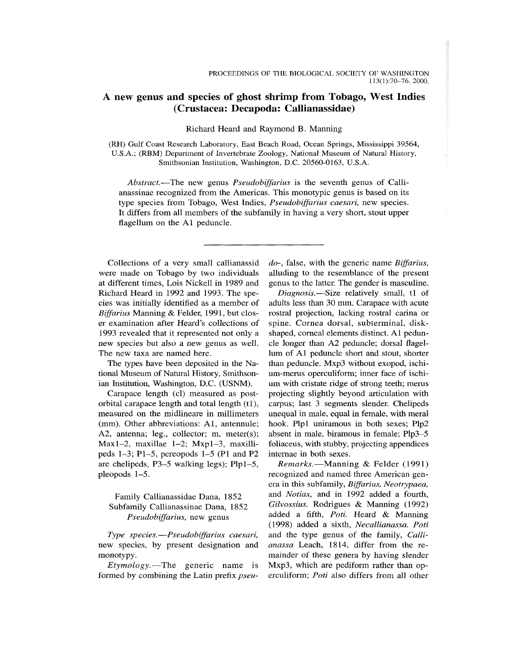# A new genus and species of ghost shrimp from Tobago, West Indies (Crustacea: Decapoda: Callianassidae)

### Richard Heard and Raymond B. Manning

(RH) Gulf Coast Research Laboratory, East Beach Road, Ocean Springs, Mississippi 39564, U.S.A.; (RBM) Department of Invertebrate Zoology, National Museum of Natural History, Smithsonian Institution, Washington, D.C. 20560-0163, U.S.A.

*Abstract.*—The new genus *Pseudobijfarius* is the seventh genus of Callianassinae recognized from the Americas. This monotypic genus is based on its type species from Tobago, West Indies, *Pseudobijfarius caesari,* new species. It differs from all members of the subfamily in having a very short, stout upper flagellum on the Al peduncle.

Collections of a very small callianassid were made on Tobago by two individuals at different times, Lois Nickell in 1989 and Richard Heard in 1992 and 1993. The species was initially identified as a member of *Biffarius* Manning & Felder, 1991, but closer examination after Heard's collections of 1993 revealed that it represented not only a new species but also a new genus as well. The new taxa are named here.

The types have been deposited in the National Museum of Natural History, Smithsonian Institution, Washington, D.C. (USNM).

Carapace length (cl) measured as postorbital carapace length and total length (tl), measured on the midlineare in millimeters (mm). Other abbreviations: Al, antennule; A2, antenna; leg., collector; m, meter(s); Maxl-2, maxillae 1-2; Mxpl-3, maxillipeds 1—3; Pl-5 , pereopods 1-5 (PI and P2 are chelipeds, P3-5 walking legs); Plpl-5, pleopods 1-5.

# Family Callianassidae Dana, 1852 Subfamily Callianassinae Dana, 1852 *Pseudobijfarius,* new genus

*Type species.*—*Pseudobijfarius caesari,*  new species, by present designation and monotypy.

*Etymology.*—The generic name is formed by combining the Latin prefix *pseu-* *do-,* false, with the generic name *Biffarius,*  alluding to the resemblance of the present genus to the latter. The gender is masculine.

*Diagnosis.*—Size relatively small, tl of adults less than 30 mm. Carapace with acute rostral projection, lacking rostral carina or spine. Cornea dorsal, subterminal, diskshaped, corneal elements distinct. Al peduncle longer than A2 peduncle; dorsal flagellum of Al peduncle short and stout, shorter than peduncle. Mxp3 without exopod, ischium-merus operculiform; inner face of ischium with cristate ridge of strong teeth; merus projecting slightly beyond articulation with carpus; last 3 segments slender. Chelipeds unequal in male, equal in female, with meral hook. Plpl uniramous in both sexes; Plp2 absent in male, biramous in female; Plp3—5 foliaceus, with stubby, projecting appendices intemae in both sexes.

*Remarks.*—Manning & Felder (1991) recognized and named three American genera in this subfamily, *Biffarius, Neotrypaea,*  and *Notiax,* and in 1992 added a fourth, *Gilvossius.* Rodrigues & Manning (1992) added a fifth, *Poti.* Heard & Manning (1998) added a sixth, *Necallianassa. Poti*  and the type genus of the family, *Callianassa* Leach, 1814, differ from the remainder of these genera by having slender Mxp3, which are pediform rather than operculiform; *Poti* also differs from all other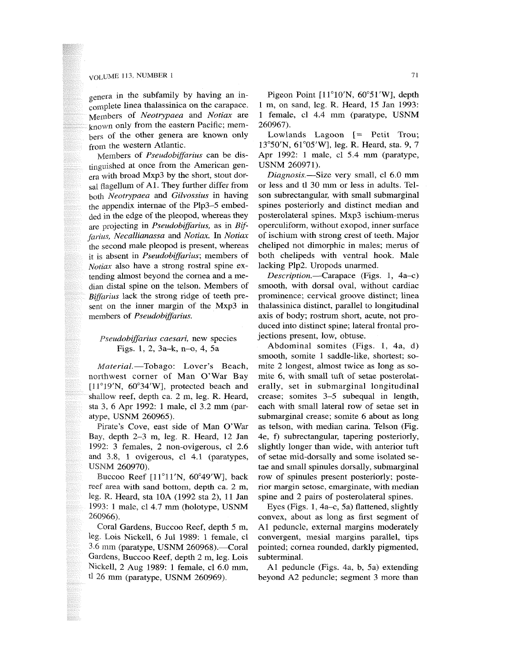# $VOLUME$  113, NUMBER 1  $71$

genera in the subfamily by having an incomplete linea thalassinica on the carapace. Members of *Neotrypaea* and *Notiax* are known only from the eastern Pacific; members of the other genera are known only from the western Atlantic.

Members of *Pseudobijfarius* can be distinguished at once from the American genera with broad Mxp3 by the short, stout dorsal flagellum of Al. They further differ from both *Neotrypaea* and *Gilvossius* in having the appendix intemae of the Plp3-5 embedded in the edge of the pleopod, whereas they are projecting in *Pseudobiffarius,* as in *Bif~ farius, Necallianassa* and *Notiax.* In *Notiax*  the second male pleopod is present, whereas it is absent in *Pseudobijfarius;* members of *Notiax* also have a strong rostral spine extending almost beyond the cornea and a median distal spine on the telson. Members of *Biffarius* lack the strong ridge of teeth present on the inner margin of the Mxp3 in members of *Pseudobiffarius.* 

### *Pseudobiffarius caesari,* new species Figs. 1, 2, 3a-k, n-o, 4, 5a

*Material.*—Tobago: Lover's Beach, northwest corner of Man O'War Bay  $[11^{\circ}19'$ N, 60°34'W], protected beach and shallow reef, depth ca. 2 m, leg. R. Heard, sta 3, 6 Apr 1992: 1 male, cl 3.2 mm (paratype, USNM 260965).

Pirate's Cove, east side of Man O'War Bay, depth 2-3 m, leg. R. Heard, 12 Jan 1992: 3 females, 2 non-ovigerous, cl 2.6 and 3.8, 1 ovigerous, cl 4.1 (paratypes, USNM 260970).

Buccoo Reef [11°11'N, 60°49'W], back reef area with sand bottom, depth ca. 2 m, leg. R. Heard, sta lOA (1992 sta 2), 11 Jan 1993: 1 male, cl 4.7 mm (holotype, USNM 260966).

Coral Gardens, Buccoo Reef, depth 5 m, leg. Lois Nickell, 6 Jul 1989: 1 female, cl 3.6 mm (paratype, USNM 260968).—Coral Gardens, Buccoo Reef, depth 2 m, leg. Lois Nickell, 2 Aug 1989: 1 female, cl 6.0 mm, tl 26 mm (paratype, USNM 260969).

Pigeon Point [11°10'N, 60°51'W], depth 1 m, on sand, leg. R. Heard, 15 Jan 1993: 1 female, cl 4.4 mm (paratype, USNM 260967).

Lowlands Lagoon [= Petit Trou; 13°50'N, 61°05'W], leg. R. Heard, sta. 9, 7 Apr  $1992: 1$  male, cl  $5.4$  mm (paratype, USNM 260971).

*Diagnosis.*—Size very small, cl 6.0 mm or less and tl 30 mm or less in adults. Telson subrectangular, with small submarginal spines posteriorly and distinct median and posterolateral spines. Mxp3 ischium-merus operculiform, without exopod, inner surface of ischium with strong crest of teeth. Major cheliped not dimorphic in males; merus of both chelipeds with ventral hook. Male lacking Plp2. Uropods unarmed.

*Description.*—Carapace (Figs. 1, 4a—c) smooth, with dorsal oval, without cardiac prominence; cervical groove distinct; linea thalassinica distinct, parallel to longitudinal axis of body; rostrum short, acute, not produced into distinct spine; lateral frontal projections present, low, obtuse.

Abdominal somites (Figs. 1, 4a, d) smooth, somite 1 saddle-like, shortest; somite 2 longest, almost twice as long as somite 6, with small tuft of setae posterolaterally, set in submarginal longitudinal crease; somites 3—5 subequal in length, each with small lateral row of setae set in submarginal crease; somite 6 about as long as telson, with median carina. Telson (Fig. 4e, f) subrectangular, tapering posteriorly, slightly longer than wide, with anterior tuft of setae mid-dorsally and some isolated setae and small spinules dorsally, submarginal row of spinules present posteriorly; posterior margin setose, emarginate, with median spine and 2 pairs of posterolateral spines.

Eyes (Figs. 1, 4a-c, 5a) flattened, slightly convex, about as long as first segment of Al peduncle, external margins moderately convergent, mesial margins parallel, tips pointed; cornea rounded, darkly pigmented, subterminal.

Al peduncle (Figs. 4a, b, 5a) extending beyond A2 peduncle; segment 3 more than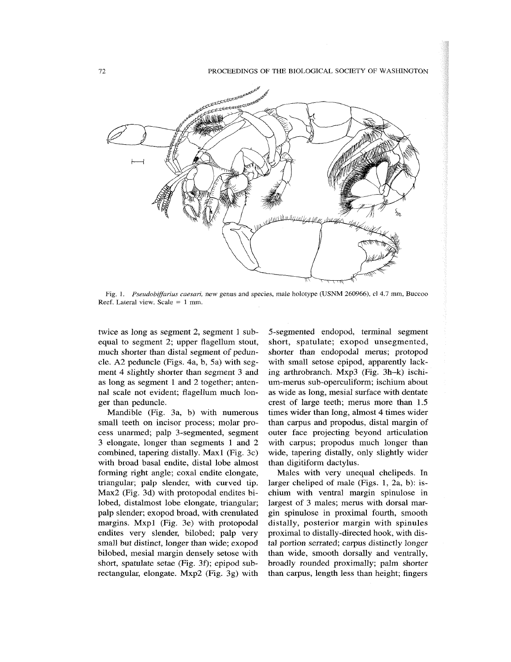**72** PROCEEDINGS OF THE BIOLOGICAL SOCIETY OF WASHINGTON



Fig. L *Pseudobijfarius caesari,* new genus and species, male holotype (USNM 260966), cl 4.7 mm, Buccoo Reef. Lateral view. Scale = 1 mm.

twice as long as segment 2, segment 1 subequal to segment 2; upper flagellum stout, much shorter than distal segment of peduncle. A2 peduncle (Figs. 4a, b, 5a) with segment 4 slightly shorter than segment 3 and as long as segment 1 and 2 together; antennal scale not evident; flagellum much longer than peduncle.

Mandible (Fig. 3a, b) with numerous small teeth on incisor process; molar process unarmed; palp 3-segmented, segment 3 elongate, longer than segments 1 and 2 combined, tapering distally. Maxl (Fig. 3c) with broad basal endite, distal lobe almost forming right angle; coxal endite elongate, triangular; palp slender, with curved tip. Max2 (Fig. 3d) with protopodal endites bilobed, distalmost lobe elongate, triangular; palp slender; exopod broad, with crenulated margins. Mxpl (Fig. 3e) with protopodal endites very slender, bilobed; palp very small but distinct, longer than wide; exopod bilobed, mesial margin densely setose with short, spatulate setae (Fig. 3f); epipod subrectangular, elongate. Mxp2 (Fig. 3g) with

5-segmented endopod, terminal segment short, spatulate; exopod unsegmented, shorter than endopodal merus; protopod with small setose epipod, apparently lacking arthrobranch. Mxp3 (Fig. 3h-k) ischium-merus sub-operculiform; ischium about as wide as long, mesial surface with dentate crest of large teeth; merus more than 1.5 times wider than long, almost 4 times wider than carpus and propodus, distal margin of outer face projecting beyond articulation with carpus; propodus much longer than wide, tapering distally, only slightly wider than digitiform dactylus.

Males with very unequal chelipeds. In larger cheliped of male (Figs. 1, 2a, b): ischium with ventral margin spinulose in largest of 3 males; merus with dorsal margin spinulose in proximal fourth, smooth distally, posterior margin with spinules proximal to distally-directed hook, with distal portion serrated; carpus distinctly longer than wide, smooth dorsally and ventrally, broadly rounded proximally; palm shorter than carpus, length less than height; fingers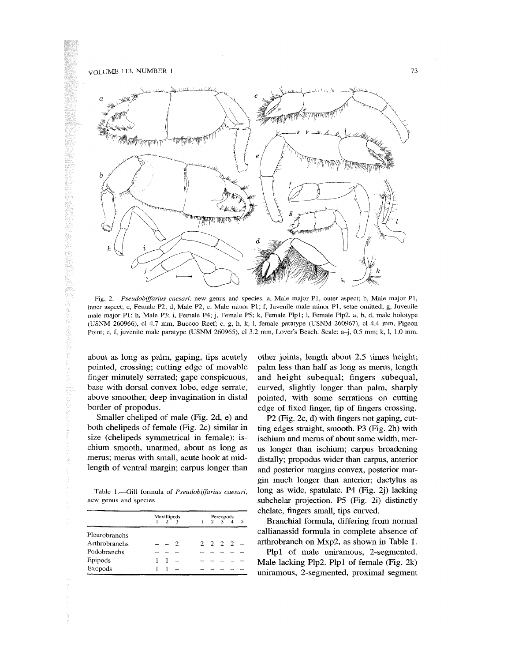### VOLUME 113, NUMBER 1 **73**



Fig. 2. *Pseudobiffarius caesari,* new genus and species, a, Male major PI, outer aspect; b, Male major PI, inner aspect; c, Female P2; d, Male P2; e, Male minor PI; f, Juvenile male minor PI, setae omitted; g, Juvenile male major P1; h, Male P3; i, Female P4; j, Female P5; k, Female Plp1; l, Female Plp2. a, b, d, male holotype (USNM 260966), cl 4.7 mm, Buccoo Reef; c, g, h, k, 1, female paratype (USNM 260967), cl 4.4 mm. Pigeon Point; e, f, juvenile male paratype (USNM 260965), cl 3.2 mm. Lover's Beach. Scale: a-j, 0.5 mm; k, 1, 1.0 mm.

about as long as palm, gaping, tips acutely pointed, crossing; cutting edge of movable finger minutely serrated; gape conspicuous, base with dorsal convex lobe, edge serrate, above smoother, deep invagination in distal border of propodus.

Smaller cheliped of male (Fig. 2d, e) and both chelipeds of female (Fig. 2c) similar in size (chelipeds symmetrical in female): ischium smooth, unarmed, about as long as merus; merus with small, acute hook at midlength of ventral margin; carpus longer than

Table 1.—Gill formula of *Pseudobiffarius caesari,*  new genus and species.

|               | Maxillipeds |                 |  | Pereopods<br>$2\begin{array}{ccc}3 & 4\end{array}$ |  |  |  |  |
|---------------|-------------|-----------------|--|----------------------------------------------------|--|--|--|--|
|               |             | $2^{\degree}$ 3 |  |                                                    |  |  |  |  |
| Pleurobranchs |             |                 |  |                                                    |  |  |  |  |
| Arthrobranchs |             |                 |  | 2 2 2 2                                            |  |  |  |  |
| Podobranchs   |             |                 |  |                                                    |  |  |  |  |
| Epipods       |             |                 |  |                                                    |  |  |  |  |
| Exopods       |             |                 |  |                                                    |  |  |  |  |

other joints, length about 2.5 times height; pahn less than half as long as merus, length and height subequal; fingers subequal, curved, slightly longer than palm, sharply pointed, with some serrations on cutting edge of fixed finger, tip of fingers crossing.

P2 (Fig. 2c, d) with fingers not gaping, cutting edges straight, smooth. P3 (Fig. 2h) with ischium and merus of about same width, merus longer than ischium; carpus broadening distally; propodus wider than carpus, anterior and posterior margins convex, posterior margin much longer than anterior; dactylus as long as wide, spatulate. P4 (Fig. 2j) lacking subchelar projection. P5 (Fig. 2i) distinctly chelate, fingers small, tips curved.

Branchial formula, differing from normal callianassid formula in complete absence of arthrobranch on Mxp2, as shown in Table 1.

Plpl of male uniramous, 2-segmented. Male lacking Plp2. Plpl of female (Fig. 2k) uniramous, 2-segmented, proximal segment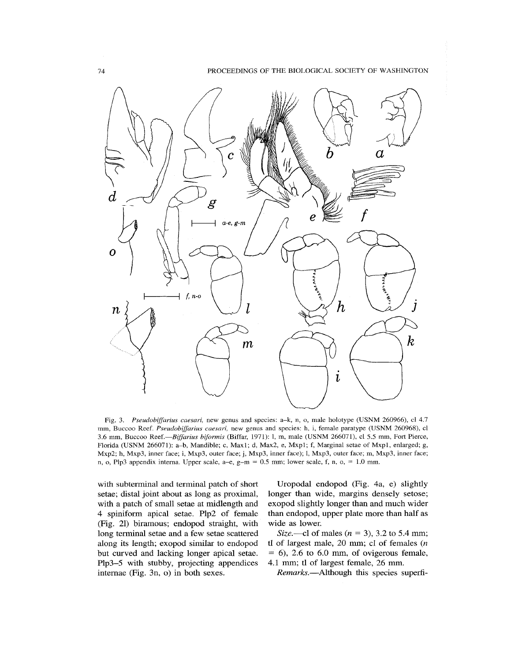

Fig. 3. *Pseudobiffarius caesari,* new genus and species: a-k, n, o, male holotype (USNM 260966), cl 4.7 mm, Buccoo Reef. *Pseudobiffarius caesari,* new genus and species: h, i, female paratype (USNM 260968), cl 3.6 mm, Buccoo Reef.—*Biffarius biformis* (Biffar, 1971): 1, m, male (USNM 266071), cl 5.5 mm. Fort Pierce, Florida (USNM 266071): a-b. Mandible; c, Maxl; d, Max2, e, Mxpl; f. Marginal setae of Mxpl, enlarged; g, Mxp2; h, Mxp3, inner face; i, Mxp3, outer face; j, Mxp3, inner face); l, Mxp3, outer face; m, Mxp3, inner face; n, o, Plp3 appendix interna. Upper scale, a-e,  $g-m = 0.5$  mm; lower scale, f, n, o, = 1.0 mm.

with subterminal and terminal patch of short setae; distal joint about as long as proximal, with a patch of small setae at midlength and 4 spiniform apical setae. Plp2 of female (Fig. 21) biramous; endopod straight, with long terminal setae and a few setae scattered along its length; exopod similar to endopod but curved and lacking longer apical setae. Plp3-5 with stubby, projecting appendices intemae (Fig. 3n, o) in both sexes.

Uropodal endopod (Fig. 4a, e) slightly longer than wide, margins densely setose; exopod slightly longer than and much wider than endopod, upper plate more than half as wide as lower

*Size.*—cl of males *{n =* 3), 3.2 to 5.4 mm; tl of largest male, 20 mm; cl of females *{n*   $= 6$ ), 2.6 to 6.0 mm, of ovigerous female, 4.1 mm; tl of largest female, 26 mm.

*Remarks.*—^Although this species superfi-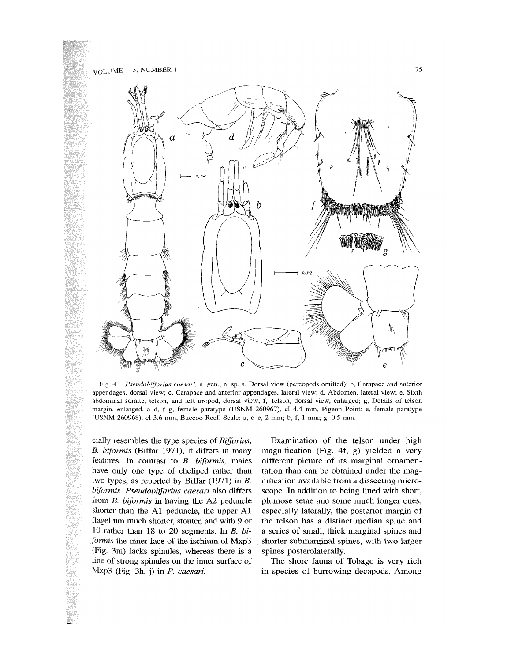

Fig. 4. *Pseudobijfarius caesari,* n. gen., n. sp. a. Dorsal view (pereopods omitted); b, Carapace and anterior appendages, dorsal view; c. Carapace and anterior appendages, lateral view; d, Abdomen, lateral view; e. Sixth abdominal somite, telson, and left uropod, dorsal view; f, Telson, dorsal view, enlarged; g. Details of telson margin, enlarged, a-d, f-g, female paratype (USNM 260967), cl 4.4 mm. Pigeon Point; e, female paratype (USNM 260968), cl 3.6 mm, Buccoo Reef. Scale: a, c-e, 2 mm; b, f, 1 mm; g, 0.5 mm.

cially resembles the type species of *Biffarius*, *B. biformis* (Biffar 1971), it differs in many features. In contrast to *B. biformis,* males have only one type of cheliped rather than two types, as reported by Biffar  $(1971)$  in B. *biformis. Pseudobijfarius caesari* also differs from *B. biformis* in having the A2 peduncle shorter than the Al peduncle, the upper Al flagellum much shorter, stouter, and with 9 or 10 rather than 18 to 20 segments. In *B. biformis* the inner face of the ischium of Mxp3 (Fig. 3m) lacks spinules, whereas there is a line of strong spinules on the inner surface of Mxp3 (Fig. 3h, j) in *P. caesari.* 

Examination of the telson under high magnification (Fig. 4f, g) yielded a very different picture of its marginal ornamentation than can be obtained under the magnification available from a dissecting microscope. In addition to being lined with short, plumose setae and some much longer ones, especially laterally, the posterior margin of the telson has a distinct median spine and a series of small, thick marginal spines and shorter submarginal spines, with two larger spines posterolaterally.

The shore fauna of Tobago is very rich in species of burrowing decapods. Among